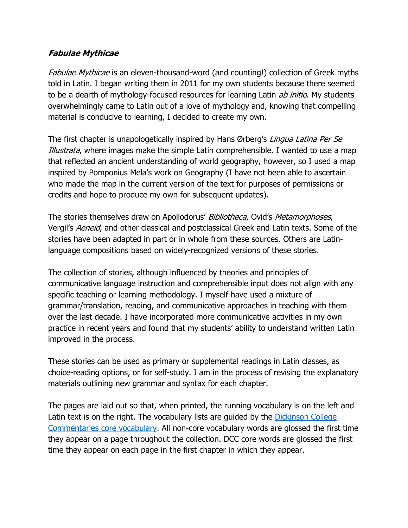## **Fabulae Mythicae**

Fabulae Mythicae is an eleven-thousand-word (and counting!) collection of Greek myths told in Latin. I began writing them in 2011 for my own students because there seemed to be a dearth of mythology-focused resources for learning Latin *ab initio*. My students overwhelmingly came to Latin out of a love of mythology and, knowing that compelling material is conducive to learning, I decided to create my own.

The first chapter is unapologetically inspired by Hans Ørberg's Lingua Latina Per Se Illustrata, where images make the simple Latin comprehensible. I wanted to use a map that reflected an ancient understanding of world geography, however, so I used a map inspired by Pomponius Mela's work on Geography (I have not been able to ascertain who made the map in the current version of the text for purposes of permissions or credits and hope to produce my own for subsequent updates).

The stories themselves draw on Apollodorus' Bibliotheca, Ovid's Metamorphoses, Vergil's Aeneid, and other classical and postclassical Greek and Latin texts. Some of the stories have been adapted in part or in whole from these sources. Others are Latinlanguage compositions based on widely-recognized versions of these stories.

The collection of stories, although influenced by theories and principles of communicative language instruction and comprehensible input does not align with any specific teaching or learning methodology. I myself have used a mixture of grammar/translation, reading, and communicative approaches in teaching with them over the last decade. I have incorporated more communicative activities in my own practice in recent years and found that my students' ability to understand written Latin improved in the process.

These stories can be used as primary or supplemental readings in Latin classes, as choice-reading options, or for self-study. I am in the process of revising the explanatory materials outlining new grammar and syntax for each chapter.

The pages are laid out so that, when printed, the running vocabulary is on the left and Latin text is on the right. The vocabulary lists are guided by the Dickinson College Commentaries core vocabulary. All non-core vocabulary words are glossed the first time they appear on a page throughout the collection. DCC core words are glossed the first time they appear on each page in the first chapter in which they appear.